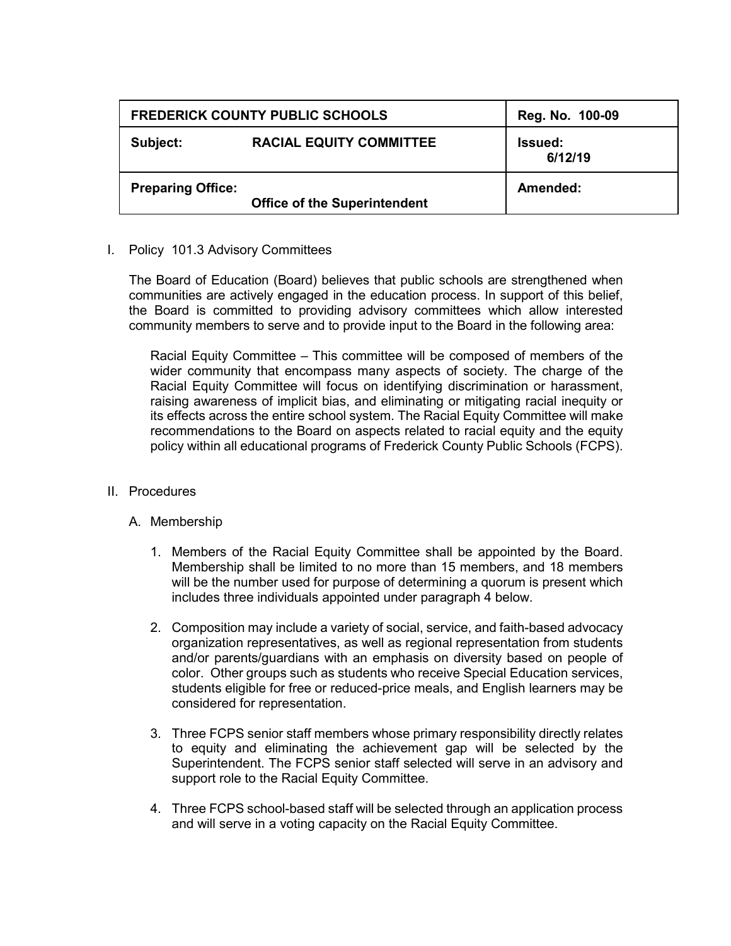| <b>FREDERICK COUNTY PUBLIC SCHOOLS</b> |                                     | Reg. No. 100-09           |
|----------------------------------------|-------------------------------------|---------------------------|
| Subject:                               | <b>RACIAL EQUITY COMMITTEE</b>      | <b>Issued:</b><br>6/12/19 |
| <b>Preparing Office:</b>               | <b>Office of the Superintendent</b> | Amended:                  |

## I. Policy 101.3 Advisory Committees

The Board of Education (Board) believes that public schools are strengthened when communities are actively engaged in the education process. In support of this belief, the Board is committed to providing advisory committees which allow interested community members to serve and to provide input to the Board in the following area:

Racial Equity Committee – This committee will be composed of members of the wider community that encompass many aspects of society. The charge of the Racial Equity Committee will focus on identifying discrimination or harassment, raising awareness of implicit bias, and eliminating or mitigating racial inequity or its effects across the entire school system. The Racial Equity Committee will make recommendations to the Board on aspects related to racial equity and the equity policy within all educational programs of Frederick County Public Schools (FCPS).

## II. Procedures

## A. Membership

- 1. Members of the Racial Equity Committee shall be appointed by the Board. Membership shall be limited to no more than 15 members, and 18 members will be the number used for purpose of determining a quorum is present which includes three individuals appointed under paragraph 4 below.
- 2. Composition may include a variety of social, service, and faith-based advocacy organization representatives, as well as regional representation from students and/or parents/guardians with an emphasis on diversity based on people of color. Other groups such as students who receive Special Education services, students eligible for free or reduced-price meals, and English learners may be considered for representation.
- 3. Three FCPS senior staff members whose primary responsibility directly relates to equity and eliminating the achievement gap will be selected by the Superintendent. The FCPS senior staff selected will serve in an advisory and support role to the Racial Equity Committee.
- 4. Three FCPS school-based staff will be selected through an application process and will serve in a voting capacity on the Racial Equity Committee.